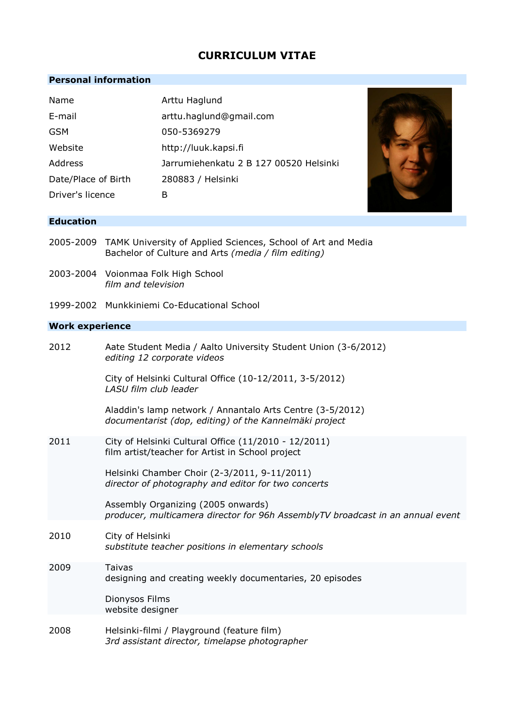# **CURRICULUM VITAE**

# **Personal information**

| Name                | Arttu Haglund                          |
|---------------------|----------------------------------------|
| E-mail              | arttu.haglund@gmail.com                |
| <b>GSM</b>          | 050-5369279                            |
| Website             | http://luuk.kapsi.fi                   |
| Address             | Jarrumiehenkatu 2 B 127 00520 Helsinki |
| Date/Place of Birth | 280883 / Helsinki                      |
| Driver's licence    | в                                      |



### **Education**

- 2005-2009 TAMK University of Applied Sciences, School of Art and Media Bachelor of Culture and Arts *(media / film editing)*
- 2003-2004 Voionmaa Folk High School *film and television*
- 1999-2002 Munkkiniemi Co-Educational School

# **Work experience**

| 2012 | Aate Student Media / Aalto University Student Union (3-6/2012)<br>editing 12 corporate videos                        |
|------|----------------------------------------------------------------------------------------------------------------------|
|      | City of Helsinki Cultural Office (10-12/2011, 3-5/2012)<br>LASU film club leader                                     |
|      | Aladdin's lamp network / Annantalo Arts Centre (3-5/2012)<br>documentarist (dop, editing) of the Kannelmäki project  |
| 2011 | City of Helsinki Cultural Office (11/2010 - 12/2011)<br>film artist/teacher for Artist in School project             |
|      | Helsinki Chamber Choir (2-3/2011, 9-11/2011)<br>director of photography and editor for two concerts                  |
|      | Assembly Organizing (2005 onwards)<br>producer, multicamera director for 96h AssemblyTV broadcast in an annual event |
| 2010 | City of Helsinki<br>substitute teacher positions in elementary schools                                               |
| 2009 | Taivas<br>designing and creating weekly documentaries, 20 episodes                                                   |
|      | Dionysos Films<br>website designer                                                                                   |
| 2008 | Helsinki-filmi / Playground (feature film)<br>3rd assistant director, timelapse photographer                         |